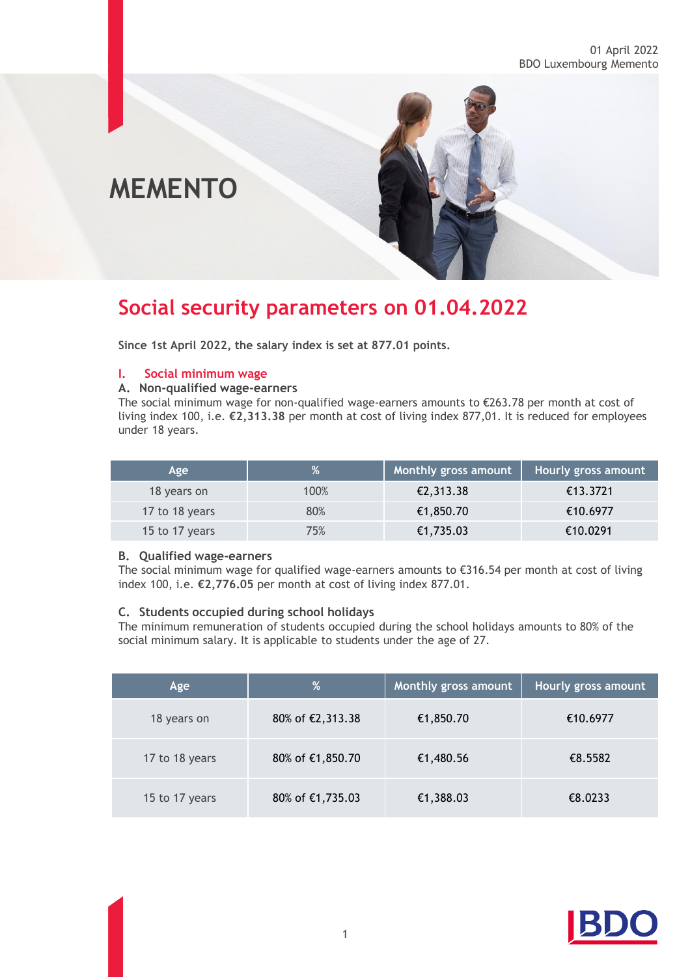# **MEMENTO**

## **Social security parameters on 01.04.2022**

**Since 1st April 2022, the salary index is set at 877.01 points.**

### **I. Social minimum wage**

### **A. Non-qualified wage-earners**

The social minimum wage for non-qualified wage-earners amounts to €263.78 per month at cost of living index 100, i.e. **€2,313.38** per month at cost of living index 877,01. It is reduced for employees under 18 years.

| Age            |      | <b>Monthly gross amount</b> | Hourly gross amount |
|----------------|------|-----------------------------|---------------------|
| 18 years on    | 100% | €2,313.38                   | €13.3721            |
| 17 to 18 years | 80%  | €1,850.70                   | €10.6977            |
| 15 to 17 years | 75%  | €1,735.03                   | €10.0291            |

### **B. Qualified wage-earners**

The social minimum wage for qualified wage-earners amounts to €316.54 per month at cost of living index 100, i.e. **€2,776.05** per month at cost of living index 877.01.

### **C. Students occupied during school holidays**

The minimum remuneration of students occupied during the school holidays amounts to 80% of the social minimum salary. It is applicable to students under the age of 27.

| Age            | %                | Monthly gross amount | Hourly gross amount |
|----------------|------------------|----------------------|---------------------|
| 18 years on    | 80% of €2,313.38 | €1,850.70            | €10.6977            |
| 17 to 18 years | 80% of €1,850.70 | €1,480.56            | €8.5582             |
| 15 to 17 years | 80% of €1,735.03 | €1,388.03            | €8.0233             |

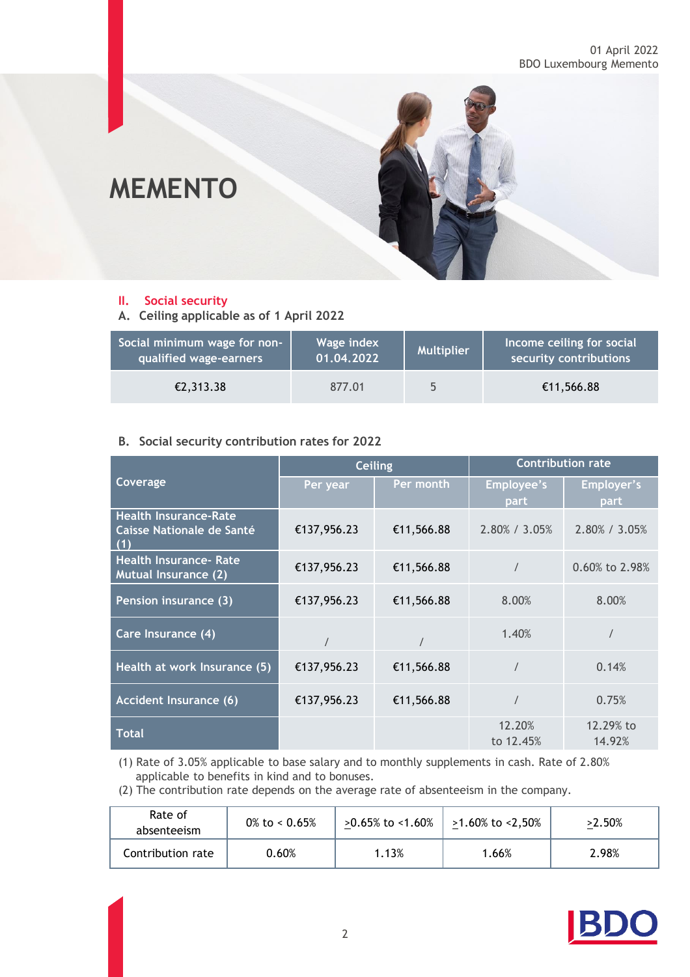

### **II. Social security**

**A. Ceiling applicable as of 1 April 2022**

| Social minimum wage for non- | Wage index | <b>Multiplier</b> | Income ceiling for social |
|------------------------------|------------|-------------------|---------------------------|
| qualified wage-earners       | 01.04.2022 |                   | security contributions    |
| €2,313.38                    | 877.01     |                   | €11,566.88                |

### **B. Social security contribution rates for 2022**

|                                                                  | <b>Ceiling</b> |            | <b>Contribution rate</b>     |                       |
|------------------------------------------------------------------|----------------|------------|------------------------------|-----------------------|
| Coverage                                                         | Per year       | Per month  | Employee's                   | Employer's            |
| <b>Health Insurance-Rate</b><br>Caisse Nationale de Santé<br>(1) | €137,956.23    | €11,566.88 | <b>part</b><br>2.80% / 3.05% | part<br>2.80% / 3.05% |
| <b>Health Insurance- Rate</b><br><b>Mutual Insurance (2)</b>     | €137,956.23    | €11,566.88 | $\prime$                     | 0.60% to 2.98%        |
| Pension insurance (3)                                            | €137,956.23    | €11,566.88 | 8.00%                        | 8.00%                 |
| Care Insurance (4)                                               |                |            | 1.40%                        |                       |
| Health at work Insurance (5)                                     | €137,956.23    | €11,566.88 |                              | 0.14%                 |
| <b>Accident Insurance (6)</b>                                    | €137,956.23    | €11,566.88 |                              | 0.75%                 |
| <b>Total</b>                                                     |                |            | 12.20%<br>to 12.45%          | 12.29% to<br>14.92%   |

(1) Rate of 3.05% applicable to base salary and to monthly supplements in cash. Rate of 2.80% applicable to benefits in kind and to bonuses.

(2) The contribution rate depends on the average rate of absenteeism in the company.

| Rate of<br>absenteeism | $0\%$ to < 0.65% | >0.65% to <1.60% | >1.60% to <2,50% | >2.50% |
|------------------------|------------------|------------------|------------------|--------|
| Contribution rate      | 0.60%            | 1.13%            | 1.66%            | 2.98%  |

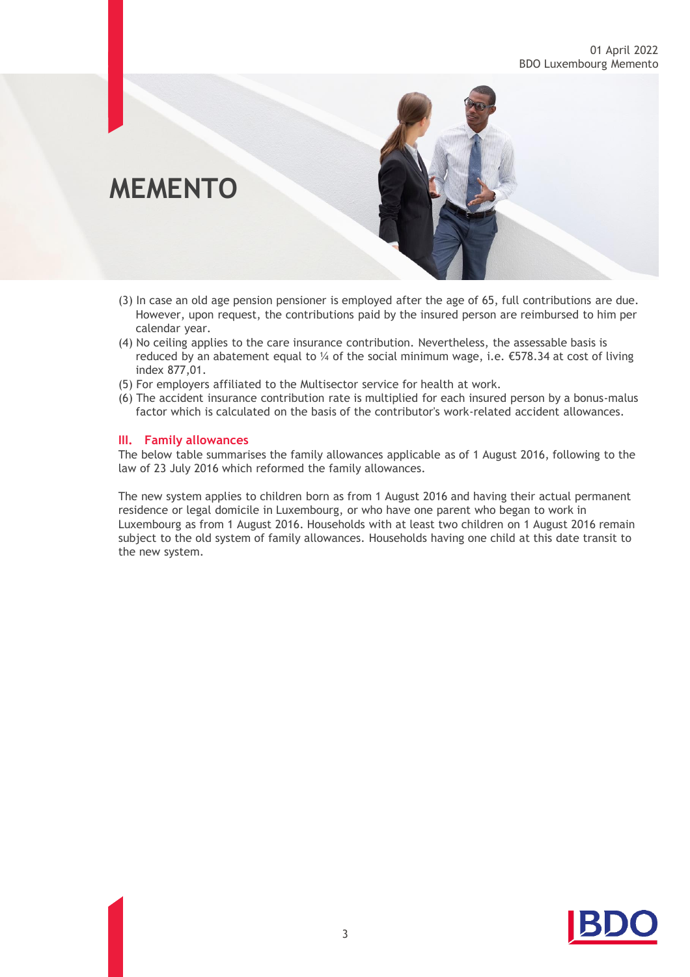### 01 April 2022 BDO Luxembourg Memento

# **MEMENTO**

- (3) In case an old age pension pensioner is employed after the age of 65, full contributions are due. However, upon request, the contributions paid by the insured person are reimbursed to him per calendar year.
- (4) No ceiling applies to the care insurance contribution. Nevertheless, the assessable basis is reduced by an abatement equal to ¼ of the social minimum wage, i.e.  $\epsilon$ 578.34 at cost of living index 877,01.
- (5) For employers affiliated to the Multisector service for health at work.
- (6) The accident insurance contribution rate is multiplied for each insured person by a bonus-malus factor which is calculated on the basis of the contributor's work-related accident allowances.

### **III. Family allowances**

The below table summarises the family allowances applicable as of 1 August 2016, following to the law of 23 July 2016 which reformed the family allowances.

The new system applies to children born as from 1 August 2016 and having their actual permanent residence or legal domicile in Luxembourg, or who have one parent who began to work in Luxembourg as from 1 August 2016. Households with at least two children on 1 August 2016 remain subject to the old system of family allowances. Households having one child at this date transit to the new system.

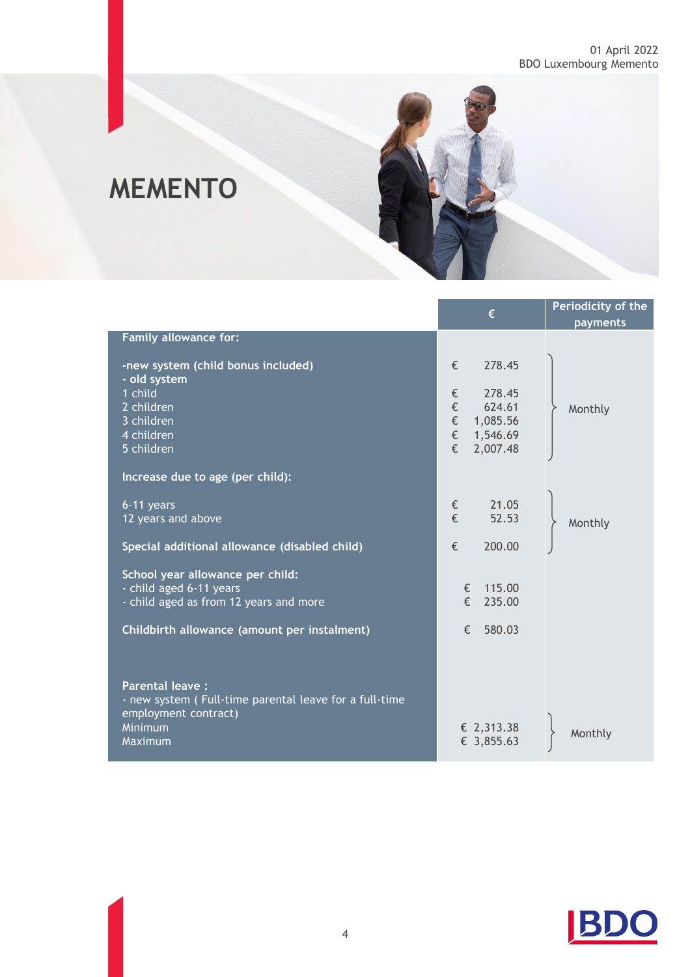

# **MEMENTO**

|                                                                                                                     | €                                                   | Periodicity of the<br>payments |
|---------------------------------------------------------------------------------------------------------------------|-----------------------------------------------------|--------------------------------|
| Family allowance for:                                                                                               |                                                     |                                |
| -new system (child bonus included)<br>- old system                                                                  | €<br>278.45                                         |                                |
| 1 child<br>2 children<br>3 children                                                                                 | 278.45<br>€<br>$\in$<br>624.61<br>$\in$<br>1,085.56 | Monthly                        |
| 4 children<br>5 children                                                                                            | $\in$<br>1,546.69<br>€<br>2,007.48                  |                                |
| Increase due to age (per child):                                                                                    |                                                     |                                |
| 6-11 years<br>12 years and above                                                                                    | 21.05<br>€<br>€<br>52.53                            | Monthly                        |
| Special additional allowance (disabled child)                                                                       | €<br>200.00                                         |                                |
| School year allowance per child:<br>- child aged 6-11 years<br>- child aged as from 12 years and more               | € 115.00<br>$\epsilon$<br>235.00                    |                                |
| Childbirth allowance (amount per instalment)                                                                        | €<br>580.03                                         |                                |
|                                                                                                                     |                                                     |                                |
| <b>Parental leave:</b><br>- new system (Full-time parental leave for a full-time<br>employment contract)<br>Minimum | € 2,313.38                                          |                                |
| Maximum                                                                                                             | € 3,855.63                                          | Monthly                        |